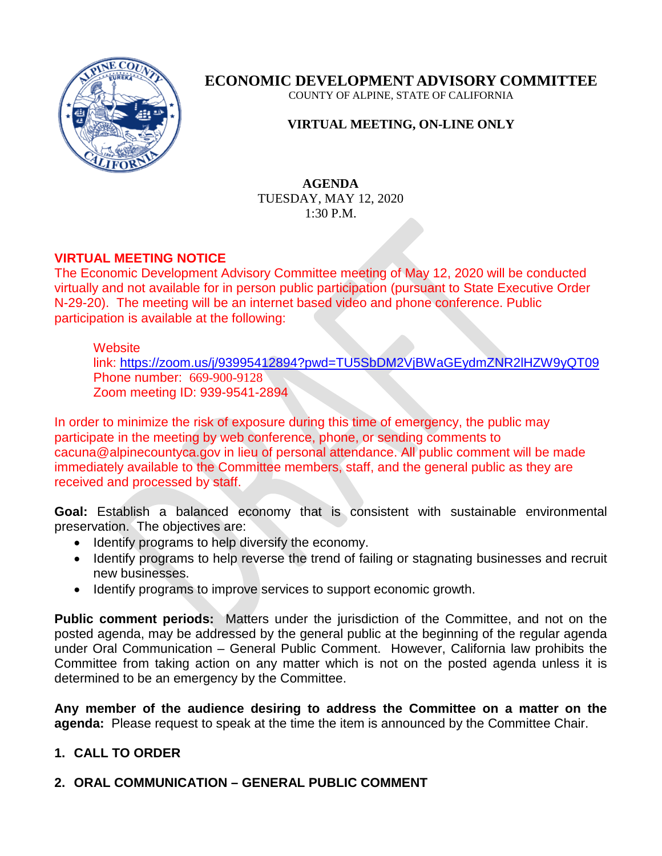

**ECONOMIC DEVELOPMENT ADVISORY COMMITTEE**

COUNTY OF ALPINE, STATE OF CALIFORNIA

### **VIRTUAL MEETING, ON-LINE ONLY**

### **AGENDA** TUESDAY, MAY 12, 2020 1:30 P.M.

### **VIRTUAL MEETING NOTICE**

The Economic Development Advisory Committee meeting of May 12, 2020 will be conducted virtually and not available for in person public participation (pursuant to State Executive Order N-29-20). The meeting will be an internet based video and phone conference. Public participation is available at the following:

### **Website**

link:<https://zoom.us/j/93995412894?pwd=TU5SbDM2VjBWaGEydmZNR2lHZW9yQT09> Phone number: 669-900-9128 Zoom meeting ID: 939-9541-2894

In order to minimize the risk of exposure during this time of emergency, the public may participate in the meeting by web conference, phone, or sending comments to cacuna@alpinecountyca.gov in lieu of personal attendance. All public comment will be made immediately available to the Committee members, staff, and the general public as they are received and processed by staff.

**Goal:** Establish a balanced economy that is consistent with sustainable environmental preservation. The objectives are:

- Identify programs to help diversify the economy.
- Identify programs to help reverse the trend of failing or stagnating businesses and recruit new businesses.
- Identify programs to improve services to support economic growth.

**Public comment periods:** Matters under the jurisdiction of the Committee, and not on the posted agenda, may be addressed by the general public at the beginning of the regular agenda under Oral Communication – General Public Comment. However, California law prohibits the Committee from taking action on any matter which is not on the posted agenda unless it is determined to be an emergency by the Committee.

**Any member of the audience desiring to address the Committee on a matter on the agenda:** Please request to speak at the time the item is announced by the Committee Chair.

### **1. CALL TO ORDER**

### **2. ORAL COMMUNICATION – GENERAL PUBLIC COMMENT**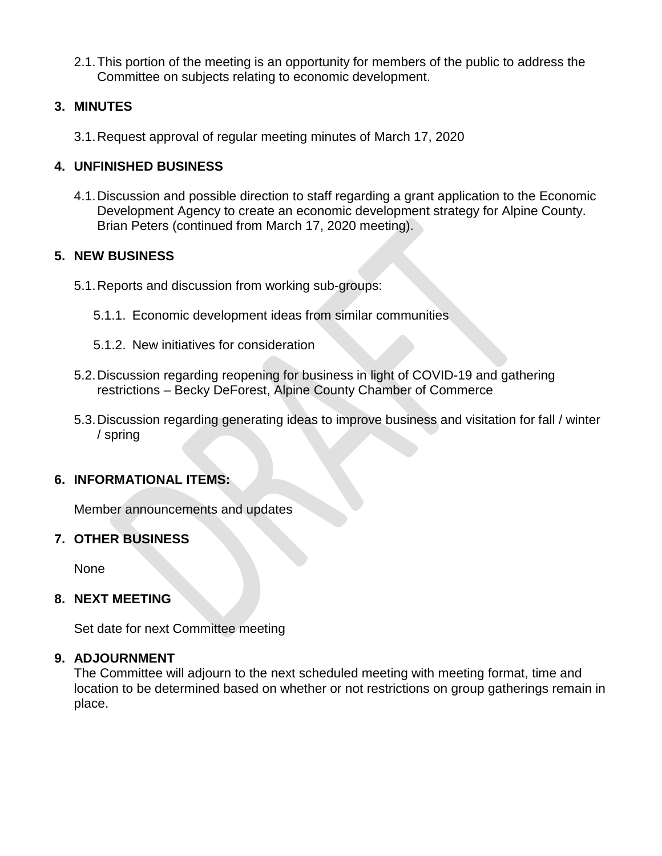2.1.This portion of the meeting is an opportunity for members of the public to address the Committee on subjects relating to economic development.

### **3. MINUTES**

3.1.Request approval of regular meeting minutes of March 17, 2020

### **4. UNFINISHED BUSINESS**

4.1.Discussion and possible direction to staff regarding a grant application to the Economic Development Agency to create an economic development strategy for Alpine County. Brian Peters (continued from March 17, 2020 meeting).

### **5. NEW BUSINESS**

- 5.1.Reports and discussion from working sub-groups:
	- 5.1.1. Economic development ideas from similar communities
	- 5.1.2. New initiatives for consideration
- 5.2.Discussion regarding reopening for business in light of COVID-19 and gathering restrictions – Becky DeForest, Alpine County Chamber of Commerce
- 5.3.Discussion regarding generating ideas to improve business and visitation for fall / winter / spring

### **6. INFORMATIONAL ITEMS:**

Member announcements and updates

### **7. OTHER BUSINESS**

None

### **8. NEXT MEETING**

Set date for next Committee meeting

### **9. ADJOURNMENT**

The Committee will adjourn to the next scheduled meeting with meeting format, time and location to be determined based on whether or not restrictions on group gatherings remain in place.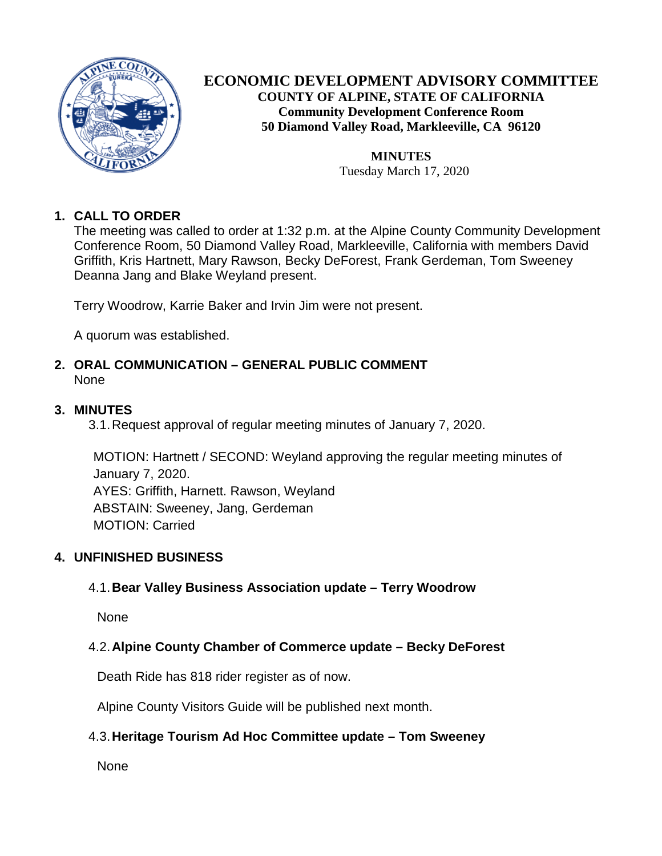

### **ECONOMIC DEVELOPMENT ADVISORY COMMITTEE COUNTY OF ALPINE, STATE OF CALIFORNIA Community Development Conference Room 50 Diamond Valley Road, Markleeville, CA 96120**

**MINUTES** Tuesday March 17, 2020

### **1. CALL TO ORDER**

The meeting was called to order at 1:32 p.m. at the Alpine County Community Development Conference Room, 50 Diamond Valley Road, Markleeville, California with members David Griffith, Kris Hartnett, Mary Rawson, Becky DeForest, Frank Gerdeman, Tom Sweeney Deanna Jang and Blake Weyland present.

Terry Woodrow, Karrie Baker and Irvin Jim were not present.

A quorum was established.

### **2. ORAL COMMUNICATION – GENERAL PUBLIC COMMENT** None

### **3. MINUTES**

3.1.Request approval of regular meeting minutes of January 7, 2020.

MOTION: Hartnett / SECOND: Weyland approving the regular meeting minutes of January 7, 2020. AYES: Griffith, Harnett. Rawson, Weyland ABSTAIN: Sweeney, Jang, Gerdeman MOTION: Carried

### **4. UNFINISHED BUSINESS**

### 4.1.**Bear Valley Business Association update – Terry Woodrow**

None

### 4.2.**Alpine County Chamber of Commerce update – Becky DeForest**

Death Ride has 818 rider register as of now.

Alpine County Visitors Guide will be published next month.

### 4.3.**Heritage Tourism Ad Hoc Committee update – Tom Sweeney**

None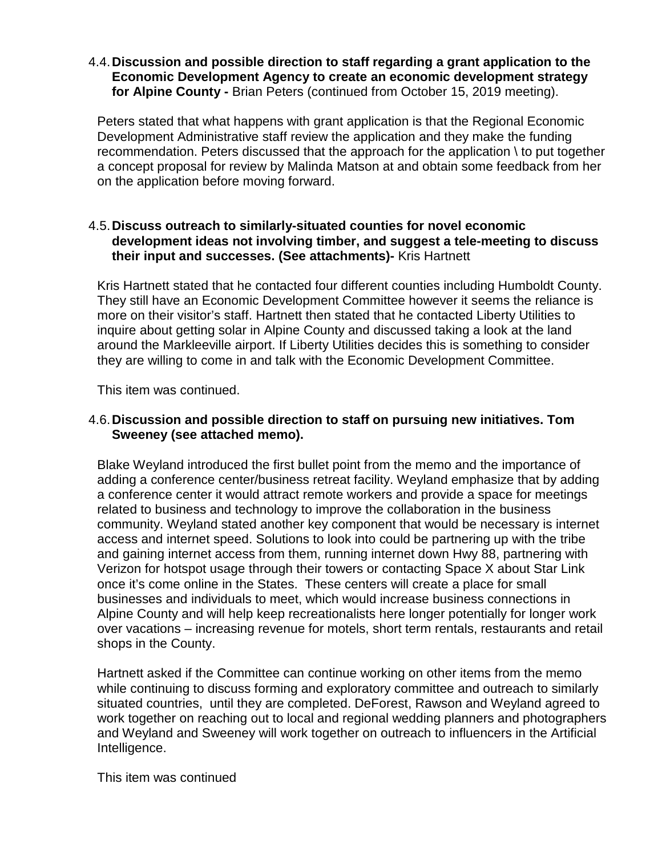### 4.4.**Discussion and possible direction to staff regarding a grant application to the Economic Development Agency to create an economic development strategy for Alpine County -** Brian Peters (continued from October 15, 2019 meeting).

Peters stated that what happens with grant application is that the Regional Economic Development Administrative staff review the application and they make the funding recommendation. Peters discussed that the approach for the application \ to put together a concept proposal for review by Malinda Matson at and obtain some feedback from her on the application before moving forward.

### 4.5.**Discuss outreach to similarly-situated counties for novel economic development ideas not involving timber, and suggest a tele-meeting to discuss their input and successes. (See attachments)-** Kris Hartnett

Kris Hartnett stated that he contacted four different counties including Humboldt County. They still have an Economic Development Committee however it seems the reliance is more on their visitor's staff. Hartnett then stated that he contacted Liberty Utilities to inquire about getting solar in Alpine County and discussed taking a look at the land around the Markleeville airport. If Liberty Utilities decides this is something to consider they are willing to come in and talk with the Economic Development Committee.

This item was continued.

### 4.6.**Discussion and possible direction to staff on pursuing new initiatives. Tom Sweeney (see attached memo).**

Blake Weyland introduced the first bullet point from the memo and the importance of adding a conference center/business retreat facility. Weyland emphasize that by adding a conference center it would attract remote workers and provide a space for meetings related to business and technology to improve the collaboration in the business community. Weyland stated another key component that would be necessary is internet access and internet speed. Solutions to look into could be partnering up with the tribe and gaining internet access from them, running internet down Hwy 88, partnering with Verizon for hotspot usage through their towers or contacting Space X about Star Link once it's come online in the States. These centers will create a place for small businesses and individuals to meet, which would increase business connections in Alpine County and will help keep recreationalists here longer potentially for longer work over vacations – increasing revenue for motels, short term rentals, restaurants and retail shops in the County.

Hartnett asked if the Committee can continue working on other items from the memo while continuing to discuss forming and exploratory committee and outreach to similarly situated countries, until they are completed. DeForest, Rawson and Weyland agreed to work together on reaching out to local and regional wedding planners and photographers and Weyland and Sweeney will work together on outreach to influencers in the Artificial Intelligence.

This item was continued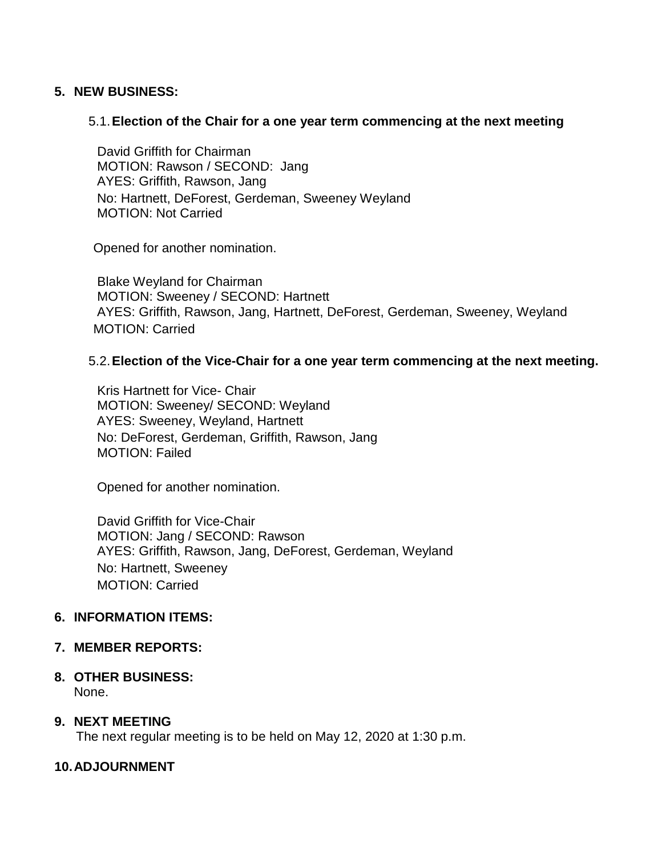### **5. NEW BUSINESS:**

### 5.1.**Election of the Chair for a one year term commencing at the next meeting**

David Griffith for Chairman MOTION: Rawson / SECOND: Jang AYES: Griffith, Rawson, Jang No: Hartnett, DeForest, Gerdeman, Sweeney Weyland MOTION: Not Carried

Opened for another nomination.

Blake Weyland for Chairman MOTION: Sweeney / SECOND: Hartnett AYES: Griffith, Rawson, Jang, Hartnett, DeForest, Gerdeman, Sweeney, Weyland MOTION: Carried

### 5.2.**Election of the Vice-Chair for a one year term commencing at the next meeting.**

Kris Hartnett for Vice- Chair MOTION: Sweeney/ SECOND: Weyland AYES: Sweeney, Weyland, Hartnett No: DeForest, Gerdeman, Griffith, Rawson, Jang MOTION: Failed

Opened for another nomination.

David Griffith for Vice-Chair MOTION: Jang / SECOND: Rawson AYES: Griffith, Rawson, Jang, DeForest, Gerdeman, Weyland No: Hartnett, Sweeney MOTION: Carried

### **6. INFORMATION ITEMS:**

### **7. MEMBER REPORTS:**

**8. OTHER BUSINESS:** None.

### **9. NEXT MEETING**

The next regular meeting is to be held on May 12, 2020 at 1:30 p.m.

### **10.ADJOURNMENT**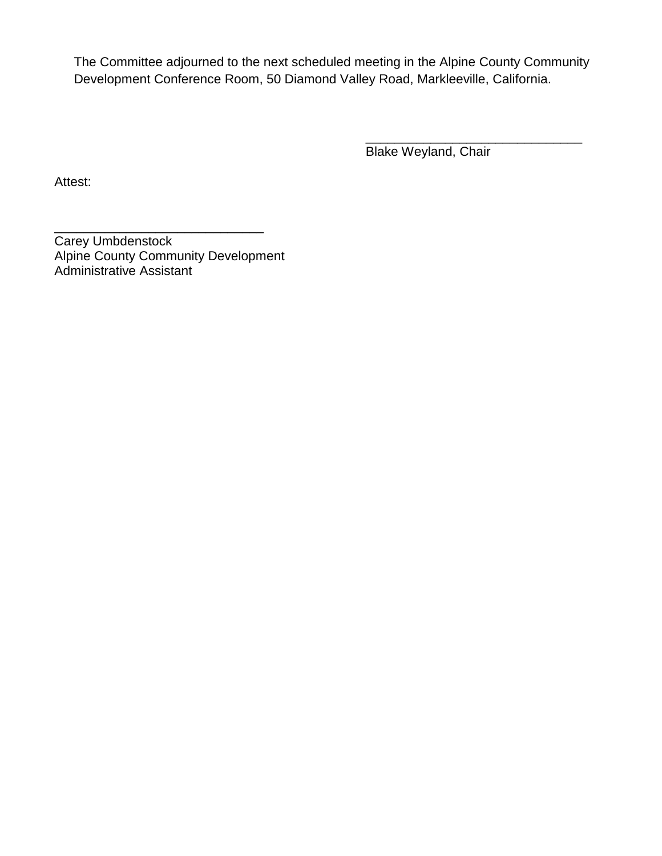The Committee adjourned to the next scheduled meeting in the Alpine County Community Development Conference Room, 50 Diamond Valley Road, Markleeville, California.

> \_\_\_\_\_\_\_\_\_\_\_\_\_\_\_\_\_\_\_\_\_\_\_\_\_\_\_\_\_\_ Blake Weyland, Chair

Attest:

\_\_\_\_\_\_\_\_\_\_\_\_\_\_\_\_\_\_\_\_\_\_\_\_\_\_\_\_\_ Carey Umbdenstock Alpine County Community Development Administrative Assistant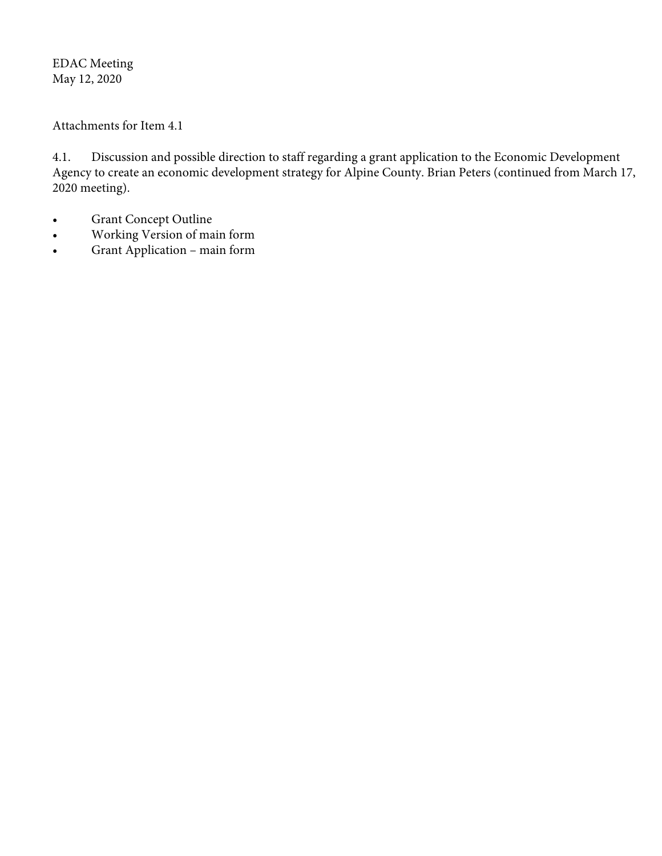EDAC Meeting May 12, 2020

Attachments for Item 4.1

4.1. Discussion and possible direction to staff regarding a grant application to the Economic Development Agency to create an economic development strategy for Alpine County. Brian Peters (continued from March 17, 2020 meeting).

- Grant Concept Outline
- Working Version of main form
- Grant Application main form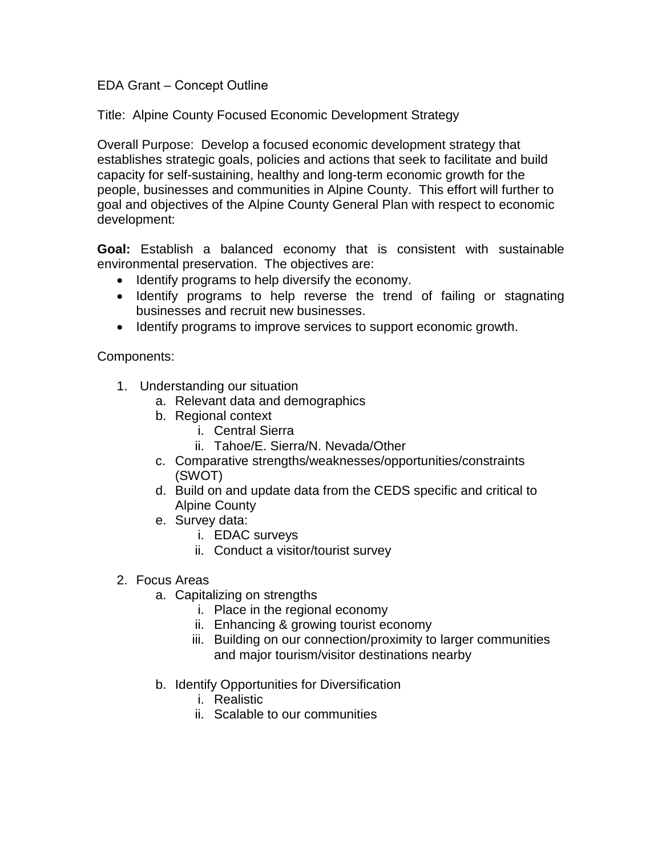### EDA Grant – Concept Outline

Title: Alpine County Focused Economic Development Strategy

Overall Purpose: Develop a focused economic development strategy that establishes strategic goals, policies and actions that seek to facilitate and build capacity for self-sustaining, healthy and long-term economic growth for the people, businesses and communities in Alpine County. This effort will further to goal and objectives of the Alpine County General Plan with respect to economic development:

**Goal:** Establish a balanced economy that is consistent with sustainable environmental preservation. The objectives are:

- Identify programs to help diversify the economy.
- Identify programs to help reverse the trend of failing or stagnating businesses and recruit new businesses.
- Identify programs to improve services to support economic growth.

Components:

- 1. Understanding our situation
	- a. Relevant data and demographics
	- b. Regional context
		- i. Central Sierra
		- ii. Tahoe/E. Sierra/N. Nevada/Other
	- c. Comparative strengths/weaknesses/opportunities/constraints (SWOT)
	- d. Build on and update data from the CEDS specific and critical to Alpine County
	- e. Survey data:
		- i. EDAC surveys
		- ii. Conduct a visitor/tourist survey
- 2. Focus Areas
	- a. Capitalizing on strengths
		- i. Place in the regional economy
		- ii. Enhancing & growing tourist economy
		- iii. Building on our connection/proximity to larger communities and major tourism/visitor destinations nearby
	- b. Identify Opportunities for Diversification
		- i. Realistic
		- ii. Scalable to our communities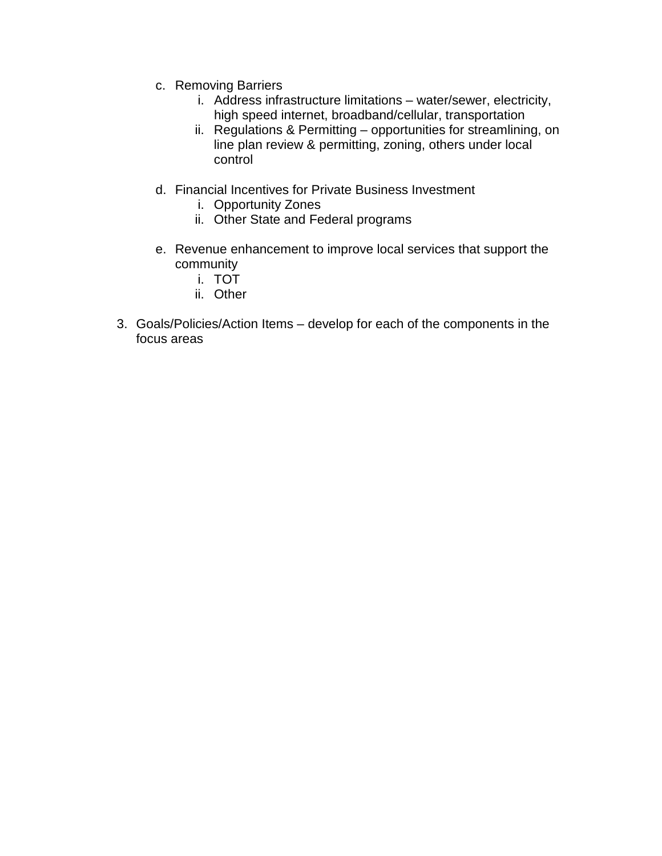- c. Removing Barriers
	- i. Address infrastructure limitations water/sewer, electricity, high speed internet, broadband/cellular, transportation
	- ii. Regulations & Permitting opportunities for streamlining, on line plan review & permitting, zoning, others under local control
- d. Financial Incentives for Private Business Investment
	- i. Opportunity Zones
	- ii. Other State and Federal programs
- e. Revenue enhancement to improve local services that support the community
	- i. TOT
	- ii. Other
- 3. Goals/Policies/Action Items develop for each of the components in the focus areas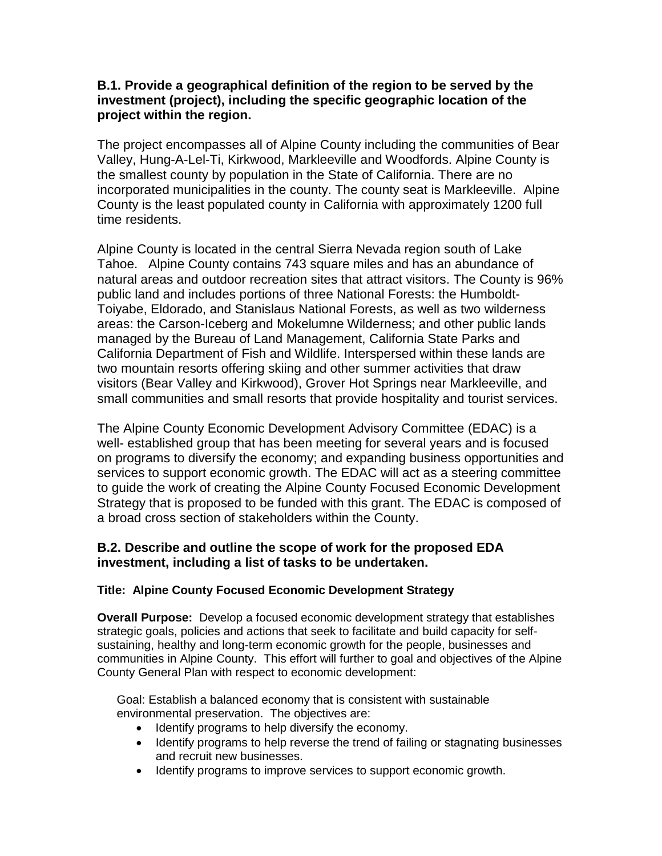### **B.1. Provide a geographical definition of the region to be served by the investment (project), including the specific geographic location of the project within the region.**

The project encompasses all of Alpine County including the communities of Bear Valley, Hung-A-Lel-Ti, Kirkwood, Markleeville and Woodfords. Alpine County is the smallest county by population in the State of California. There are no incorporated municipalities in the county. The county seat is Markleeville. Alpine County is the least populated county in California with approximately 1200 full time residents.

Alpine County is located in the central Sierra Nevada region south of Lake Tahoe. Alpine County contains 743 square miles and has an abundance of natural areas and outdoor recreation sites that attract visitors. The County is 96% public land and includes portions of three National Forests: the Humboldt-Toiyabe, Eldorado, and Stanislaus National Forests, as well as two wilderness areas: the Carson-Iceberg and Mokelumne Wilderness; and other public lands managed by the Bureau of Land Management, California State Parks and California Department of Fish and Wildlife. Interspersed within these lands are two mountain resorts offering skiing and other summer activities that draw visitors (Bear Valley and Kirkwood), Grover Hot Springs near Markleeville, and small communities and small resorts that provide hospitality and tourist services.

The Alpine County Economic Development Advisory Committee (EDAC) is a well- established group that has been meeting for several years and is focused on programs to diversify the economy; and expanding business opportunities and services to support economic growth. The EDAC will act as a steering committee to guide the work of creating the Alpine County Focused Economic Development Strategy that is proposed to be funded with this grant. The EDAC is composed of a broad cross section of stakeholders within the County.

### **B.2. Describe and outline the scope of work for the proposed EDA investment, including a list of tasks to be undertaken.**

### **Title: Alpine County Focused Economic Development Strategy**

**Overall Purpose:** Develop a focused economic development strategy that establishes strategic goals, policies and actions that seek to facilitate and build capacity for selfsustaining, healthy and long-term economic growth for the people, businesses and communities in Alpine County. This effort will further to goal and objectives of the Alpine County General Plan with respect to economic development:

Goal: Establish a balanced economy that is consistent with sustainable environmental preservation. The objectives are:

- Identify programs to help diversify the economy.
- Identify programs to help reverse the trend of failing or stagnating businesses and recruit new businesses.
- Identify programs to improve services to support economic growth.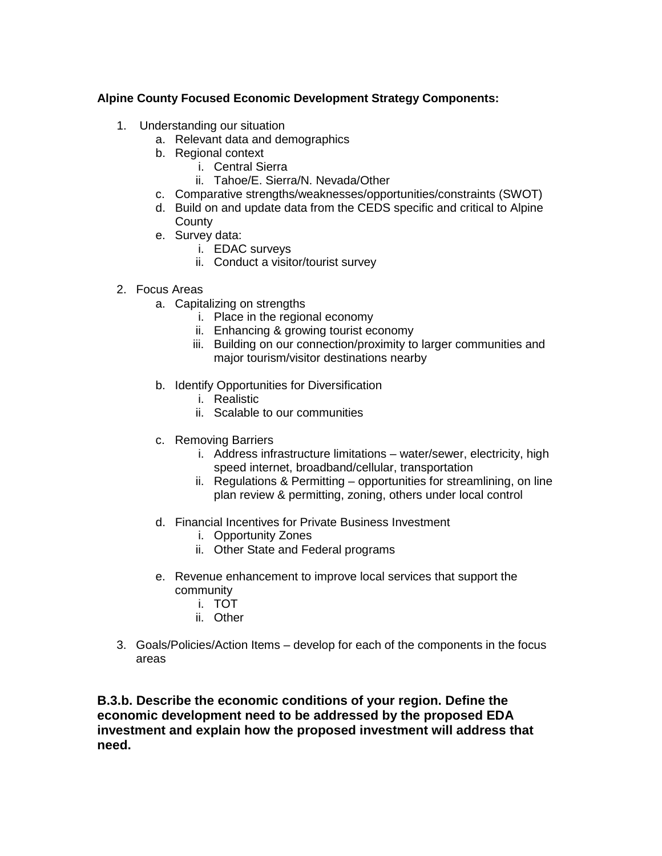### **Alpine County Focused Economic Development Strategy Components:**

- 1. Understanding our situation
	- a. Relevant data and demographics
	- b. Regional context
		- i. Central Sierra
		- ii. Tahoe/E. Sierra/N. Nevada/Other
	- c. Comparative strengths/weaknesses/opportunities/constraints (SWOT)
	- d. Build on and update data from the CEDS specific and critical to Alpine **County**
	- e. Survey data:
		- i. EDAC surveys
		- ii. Conduct a visitor/tourist survey
- 2. Focus Areas
	- a. Capitalizing on strengths
		- i. Place in the regional economy
		- ii. Enhancing & growing tourist economy
		- iii. Building on our connection/proximity to larger communities and major tourism/visitor destinations nearby
	- b. Identify Opportunities for Diversification
		- i. Realistic
		- ii. Scalable to our communities
	- c. Removing Barriers
		- i. Address infrastructure limitations water/sewer, electricity, high speed internet, broadband/cellular, transportation
		- ii. Regulations & Permitting opportunities for streamlining, on line plan review & permitting, zoning, others under local control
	- d. Financial Incentives for Private Business Investment
		- i. Opportunity Zones
		- ii. Other State and Federal programs
	- e. Revenue enhancement to improve local services that support the community
		- i. TOT
		- ii. Other
- 3. Goals/Policies/Action Items develop for each of the components in the focus areas

**B.3.b. Describe the economic conditions of your region. Define the economic development need to be addressed by the proposed EDA investment and explain how the proposed investment will address that need.**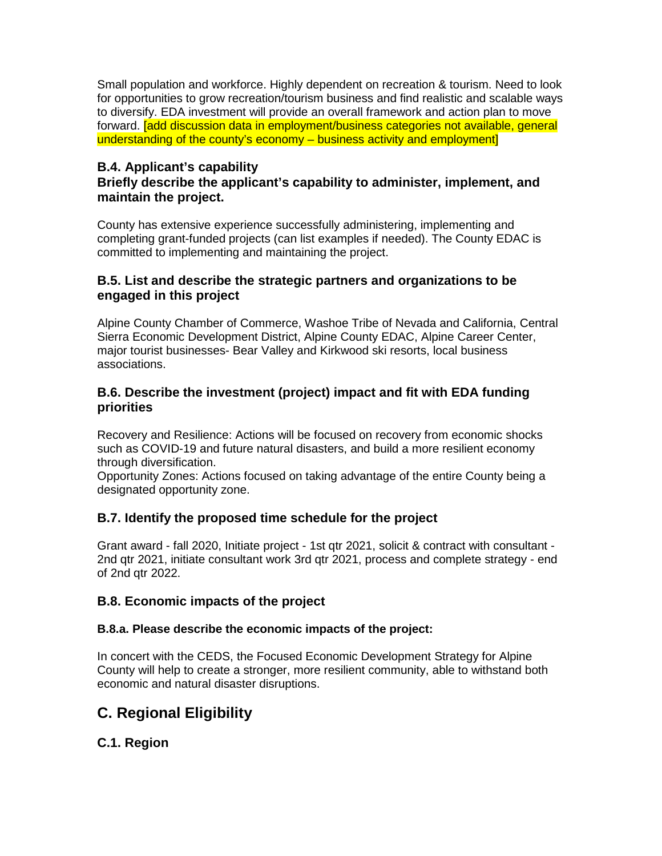Small population and workforce. Highly dependent on recreation & tourism. Need to look for opportunities to grow recreation/tourism business and find realistic and scalable ways to diversify. EDA investment will provide an overall framework and action plan to move forward. [add discussion data in employment/business categories not available, general understanding of the county's economy – business activity and employment]

### **B.4. Applicant's capability**

### **Briefly describe the applicant's capability to administer, implement, and maintain the project.**

County has extensive experience successfully administering, implementing and completing grant-funded projects (can list examples if needed). The County EDAC is committed to implementing and maintaining the project.

### **B.5. List and describe the strategic partners and organizations to be engaged in this project**

Alpine County Chamber of Commerce, Washoe Tribe of Nevada and California, Central Sierra Economic Development District, Alpine County EDAC, Alpine Career Center, major tourist businesses- Bear Valley and Kirkwood ski resorts, local business associations.

### **B.6. Describe the investment (project) impact and fit with EDA funding priorities**

Recovery and Resilience: Actions will be focused on recovery from economic shocks such as COVID-19 and future natural disasters, and build a more resilient economy through diversification.

Opportunity Zones: Actions focused on taking advantage of the entire County being a designated opportunity zone.

### **B.7. Identify the proposed time schedule for the project**

Grant award - fall 2020, Initiate project - 1st qtr 2021, solicit & contract with consultant - 2nd qtr 2021, initiate consultant work 3rd qtr 2021, process and complete strategy - end of 2nd qtr 2022.

### **B.8. Economic impacts of the project**

### **B.8.a. Please describe the economic impacts of the project:**

In concert with the CEDS, the Focused Economic Development Strategy for Alpine County will help to create a stronger, more resilient community, able to withstand both economic and natural disaster disruptions.

# **C. Regional Eligibility**

**C.1. Region**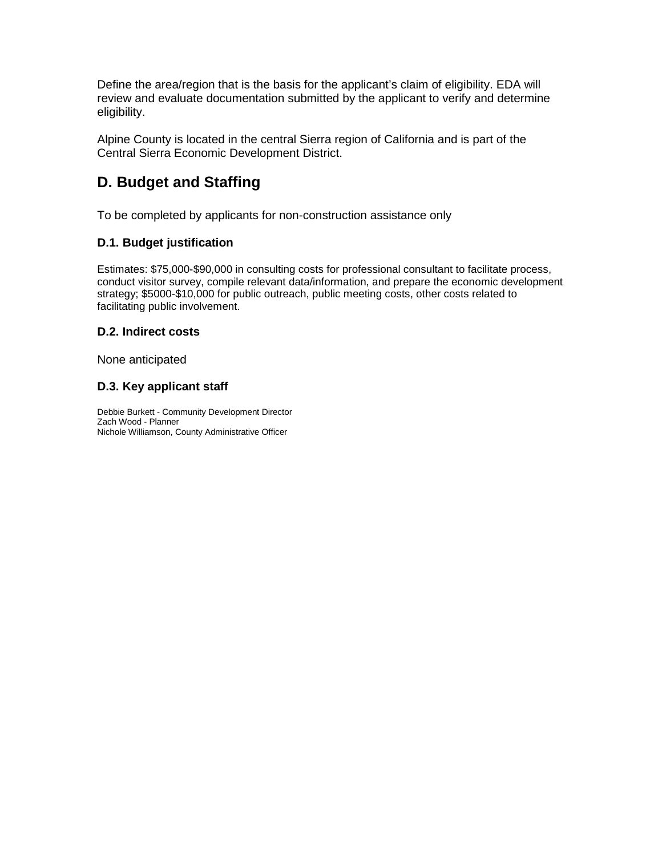Define the area/region that is the basis for the applicant's claim of eligibility. EDA will review and evaluate documentation submitted by the applicant to verify and determine eligibility.

Alpine County is located in the central Sierra region of California and is part of the Central Sierra Economic Development District.

# **D. Budget and Staffing**

To be completed by applicants for non-construction assistance only

### **D.1. Budget justification**

Estimates: \$75,000-\$90,000 in consulting costs for professional consultant to facilitate process, conduct visitor survey, compile relevant data/information, and prepare the economic development strategy; \$5000-\$10,000 for public outreach, public meeting costs, other costs related to facilitating public involvement.

### **D.2. Indirect costs**

None anticipated

### **D.3. Key applicant staff**

Debbie Burkett - Community Development Director Zach Wood - Planner Nichole Williamson, County Administrative Officer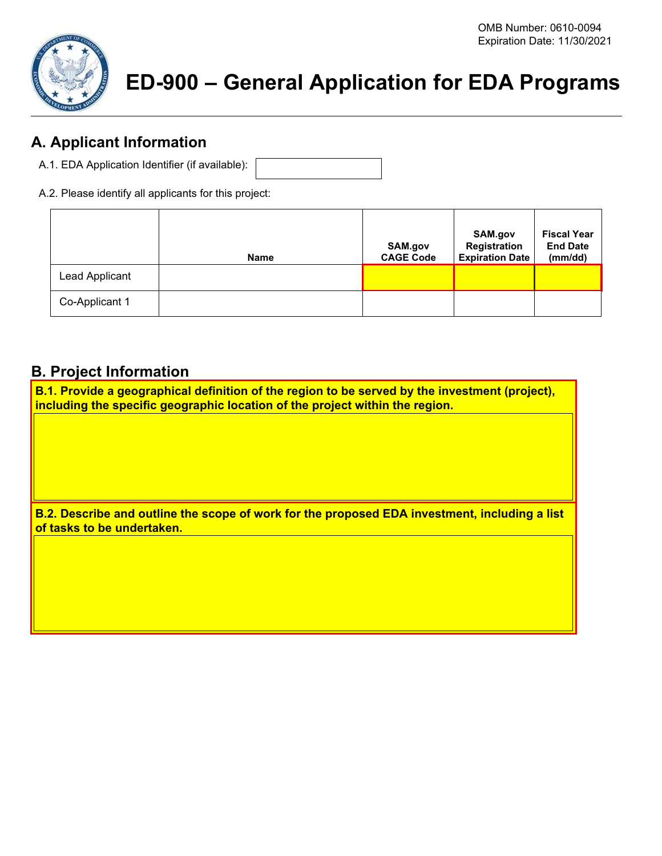

# **ED-900 – General Application for EDA Programs**

# **A. Applicant Information**

- A.1. EDA Application Identifier (if available):
- A.2. Please identify all applicants for this project:

|                | <b>Name</b> | SAM.gov<br><b>CAGE Code</b> | SAM.gov<br>Registration<br><b>Expiration Date</b> | <b>Fiscal Year</b><br><b>End Date</b><br>(mm/dd) |
|----------------|-------------|-----------------------------|---------------------------------------------------|--------------------------------------------------|
| Lead Applicant |             |                             |                                                   |                                                  |
| Co-Applicant 1 |             |                             |                                                   |                                                  |

## **B. Project Information**

**B.1. Provide a geographical definition of the region to be served by the investment (project), including the specific geographic location of the project within the region.**

**B.2. Describe and outline the scope of work for the proposed EDA investment, including a list of tasks to be undertaken.**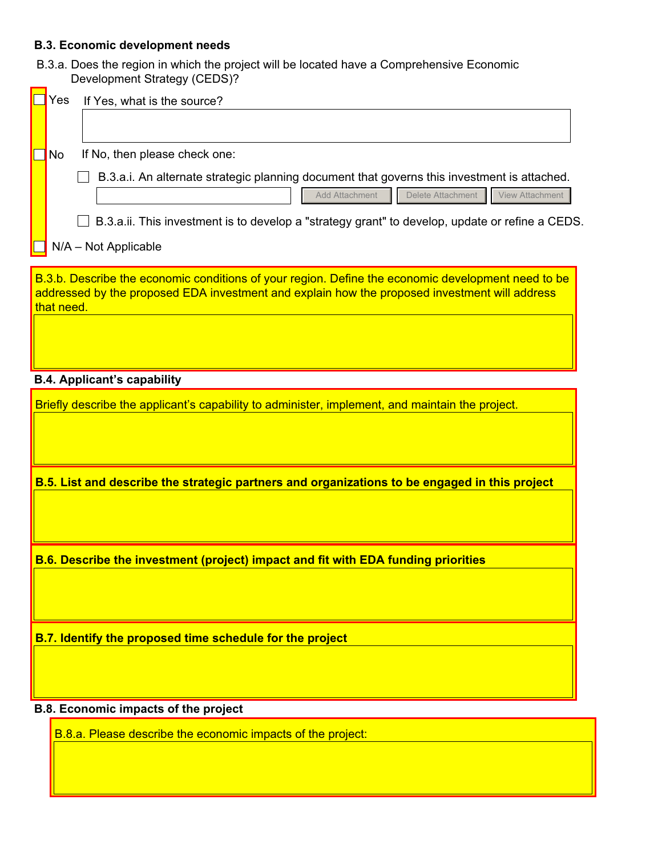### **B.3. Economic development needs**

B.3.a. Does the region in which the project will be located have a Comprehensive Economic Development Strategy (CEDS)?

| Yes        | If Yes, what is the source?                                                                                                                                                                                                                                                             |
|------------|-----------------------------------------------------------------------------------------------------------------------------------------------------------------------------------------------------------------------------------------------------------------------------------------|
|            |                                                                                                                                                                                                                                                                                         |
| No.        | If No, then please check one:                                                                                                                                                                                                                                                           |
|            | B.3.a.i. An alternate strategic planning document that governs this investment is attached.<br>Delete Attachment<br><b>Add Attachment</b><br>View Attachment<br>B.3.a.ii. This investment is to develop a "strategy grant" to develop, update or refine a CEDS.<br>N/A - Not Applicable |
| that need. | B.3.b. Describe the economic conditions of your region. Define the economic development need to be<br>addressed by the proposed EDA investment and explain how the proposed investment will address                                                                                     |

### **B.4. Applicant's capability**

Briefly describe the applicant's capability to administer, implement, and maintain the project.

**B.5. List and describe the strategic partners and organizations to be engaged in this project** 

**B.6. Describe the investment (project) impact and fit with EDA funding priorities**

**B.7. Identify the proposed time schedule for the project**

### **B.8. Economic impacts of the project**

B.8.a. Please describe the economic impacts of the project: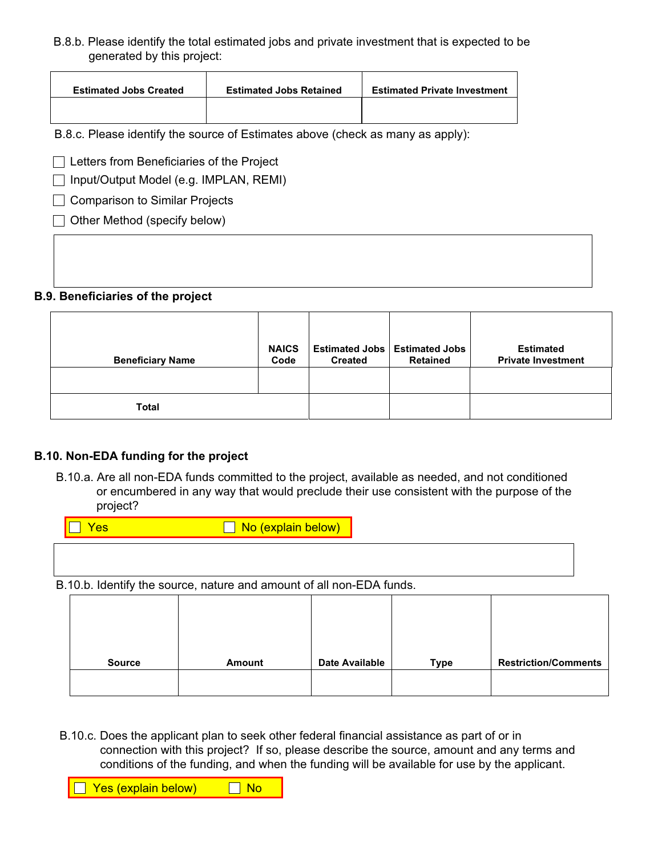B.8.b. Please identify the total estimated jobs and private investment that is expected to be generated by this project:

| <b>Estimated Jobs Created</b> | <b>Estimated Jobs Retained</b> | <b>Estimated Private Investment</b> |
|-------------------------------|--------------------------------|-------------------------------------|
|                               |                                |                                     |

B.8.c. Please identify the source of Estimates above (check as many as apply):

□ Letters from Beneficiaries of the Project

 $\Box$  Input/Output Model (e.g. IMPLAN, REMI)

□ Comparison to Similar Projects

 $\Box$  Other Method (specify below)

### **B.9. Beneficiaries of the project**

| <b>Beneficiary Name</b> | <b>NAICS</b><br>Code | <b>Created</b> | <b>Estimated Jobs   Estimated Jobs</b><br><b>Retained</b> | <b>Estimated</b><br><b>Private Investment</b> |
|-------------------------|----------------------|----------------|-----------------------------------------------------------|-----------------------------------------------|
|                         |                      |                |                                                           |                                               |
| Total                   |                      |                |                                                           |                                               |

### **B.10. Non-EDA funding for the project**

B.10.a. Are all non-EDA funds committed to the project, available as needed, and not conditioned or encumbered in any way that would preclude their use consistent with the purpose of the project?

| res | No (explain below)                                                   |  |  |
|-----|----------------------------------------------------------------------|--|--|
|     |                                                                      |  |  |
|     |                                                                      |  |  |
|     | B.10.b. Identify the source, nature and amount of all non-EDA funds. |  |  |
|     |                                                                      |  |  |

| <b>Source</b> | Amount | <b>Date Available</b> | Type | <b>Restriction/Comments</b> |
|---------------|--------|-----------------------|------|-----------------------------|

B.10.c. Does the applicant plan to seek other federal financial assistance as part of or in connection with this project? If so, please describe the source, amount and any terms and conditions of the funding, and when the funding will be available for use by the applicant.

■ Yes (explain below) ■ No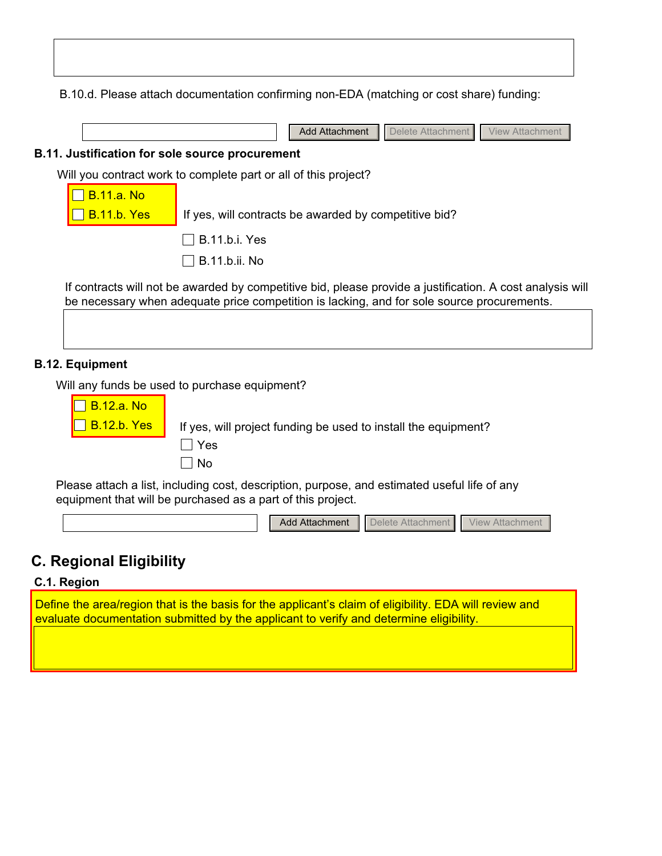B.10.d. Please attach documentation confirming non-EDA (matching or cost share) funding:

|                                                        | Add Attachment   Delete Attachment   View Attachment |  |
|--------------------------------------------------------|------------------------------------------------------|--|
| <b>B.11. Justification for sole source procurement</b> |                                                      |  |

Will you contract work to complete part or all of this project?

| $\Box$ B.11.a. No  |                                                       |
|--------------------|-------------------------------------------------------|
| $\Box$ B.11.b. Yes | If yes, will contracts be awarded by competitive bid? |
|                    | $\Box$ B.11.b.i. Yes                                  |
|                    | $\Box$ B.11.b.ii. No                                  |

If contracts will not be awarded by competitive bid, please provide a justification. A cost analysis will be necessary when adequate price competition is lacking, and for sole source procurements.

### **B.12. Equipment**

Will any funds be used to purchase equipment?

| $\Box$ B.12.a. No  |                                                                |
|--------------------|----------------------------------------------------------------|
| $\Box$ B.12.b. Yes | If yes, will project funding be used to install the equipment? |
|                    | ∣ Yes                                                          |
|                    | ∣No                                                            |

Please attach a list, including cost, description, purpose, and estimated useful life of any equipment that will be purchased as a part of this project.



# **C. Regional Eligibility**

### **C.1. Region**

Define the area/region that is the basis for the applicant's claim of eligibility. EDA will review and evaluate documentation submitted by the applicant to verify and determine eligibility.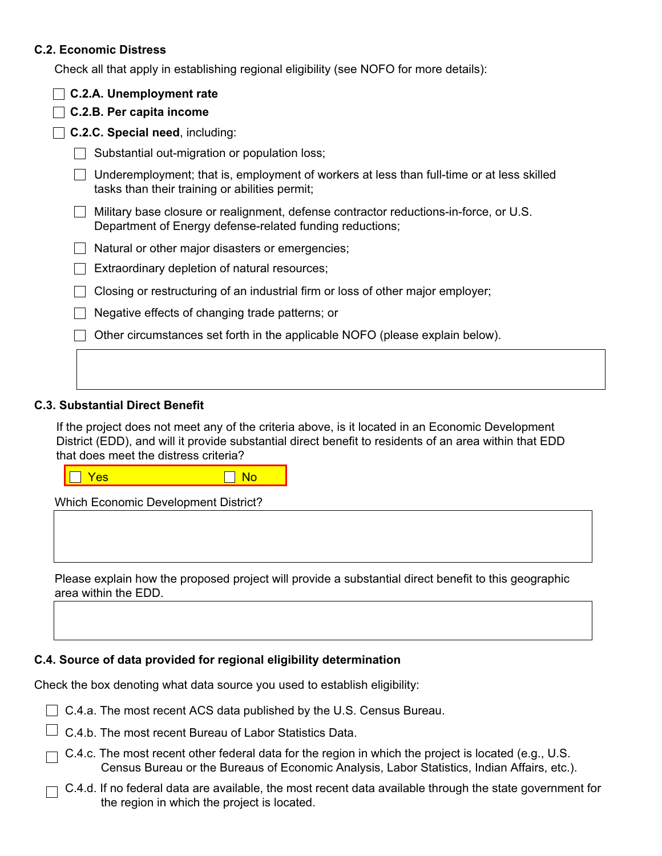### **C.2. Economic Distress**

Check all that apply in establishing regional eligibility (see NOFO for more details):

| C.2.A. Unemployment rate                                                                                                                          |  |  |  |  |  |
|---------------------------------------------------------------------------------------------------------------------------------------------------|--|--|--|--|--|
| C.2.B. Per capita income                                                                                                                          |  |  |  |  |  |
| <b>C.2.C. Special need, including:</b>                                                                                                            |  |  |  |  |  |
| Substantial out-migration or population loss;                                                                                                     |  |  |  |  |  |
| Underemployment; that is, employment of workers at less than full-time or at less skilled<br>tasks than their training or abilities permit;       |  |  |  |  |  |
| Military base closure or realignment, defense contractor reductions-in-force, or U.S.<br>Department of Energy defense-related funding reductions; |  |  |  |  |  |
| Natural or other major disasters or emergencies;                                                                                                  |  |  |  |  |  |
| Extraordinary depletion of natural resources;                                                                                                     |  |  |  |  |  |
| Closing or restructuring of an industrial firm or loss of other major employer;                                                                   |  |  |  |  |  |
| Negative effects of changing trade patterns; or                                                                                                   |  |  |  |  |  |
| Other circumstances set forth in the applicable NOFO (please explain below).                                                                      |  |  |  |  |  |
|                                                                                                                                                   |  |  |  |  |  |

### **C.3. Substantial Direct Benefit**

If the project does not meet any of the criteria above, is it located in an Economic Development District (EDD), and will it provide substantial direct benefit to residents of an area within that EDD that does meet the distress criteria?

**Yes All Account Contracts** 

Which Economic Development District?

Please explain how the proposed project will provide a substantial direct benefit to this geographic area within the EDD.

### **C.4. Source of data provided for regional eligibility determination**

Check the box denoting what data source you used to establish eligibility:

- $\Box$  C.4.a. The most recent ACS data published by the U.S. Census Bureau.
- $\Box$  C.4.b. The most recent Bureau of Labor Statistics Data.
- $\Box$  C.4.c. The most recent other federal data for the region in which the project is located (e.g., U.S. Census Bureau or the Bureaus of Economic Analysis, Labor Statistics, Indian Affairs, etc.).
- $\Box$  C.4.d. If no federal data are available, the most recent data available through the state government for the region in which the project is located.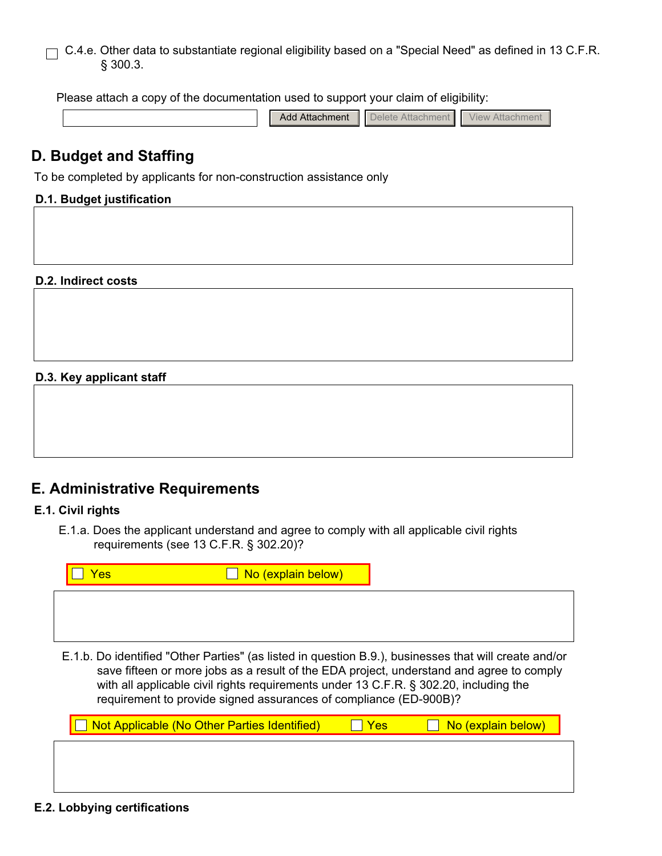### C.4.e. Other data to substantiate regional eligibility based on a "Special Need" as defined in 13 C.F.R.  $\Box$ § 300.3.

Please attach a copy of the documentation used to support your claim of eligibility:

| 0.44 - - - - - - - - 4<br>tachment<br>nuc | ш. | View<br>H |
|-------------------------------------------|----|-----------|
|-------------------------------------------|----|-----------|

# **D. Budget and Staffing**

To be completed by applicants for non-construction assistance only

### **D.1. Budget justification**

**D.2. Indirect costs**

### **D.3. Key applicant staff**

|  |  | <b>E. Administrative Requirements</b> |  |
|--|--|---------------------------------------|--|
|  |  |                                       |  |

### **E.1. Civil rights**

E.1.a. Does the applicant understand and agree to comply with all applicable civil rights requirements (see 13 C.F.R. § 302.20)?



requirement to provide signed assurances of compliance (ED-900B)?  $\Box$  Not Applicable (No Other Parties Identified)  $\Box$  Yes  $\Box$  No (explain below)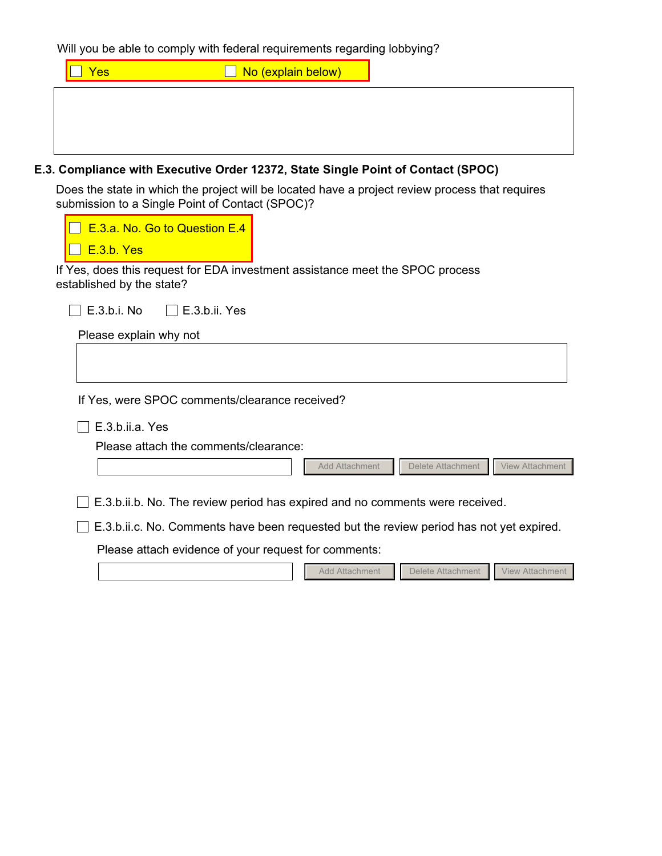Will you be able to comply with federal requirements regarding lobbying?

| Yes | No (explain below) |  |
|-----|--------------------|--|
|     |                    |  |
|     |                    |  |
|     |                    |  |

### **E.3. Compliance with Executive Order 12372, State Single Point of Contact (SPOC)**

Does the state in which the project will be located have a project review process that requires submission to a Single Point of Contact (SPOC)?

| E.3.a. No. Go to Question E.4<br>E.3.b. Yes<br>If Yes, does this request for EDA investment assistance meet the SPOC process<br>established by the state?<br>E.3.b.i. No<br>∣ I E.3.b.ii. Yes |
|-----------------------------------------------------------------------------------------------------------------------------------------------------------------------------------------------|
| Please explain why not                                                                                                                                                                        |
| If Yes, were SPOC comments/clearance received?                                                                                                                                                |
| E.3.b.ii.a. Yes<br>Please attach the comments/clearance:                                                                                                                                      |
| Delete Attachment<br><b>View Attachment</b><br>Add Attachment                                                                                                                                 |
| E.3.b.ii.b. No. The review period has expired and no comments were received.<br>E.3.b.ii.c. No. Comments have been requested but the review period has not yet expired.                       |
| Please attach evidence of your request for comments:                                                                                                                                          |
| Delete Attachment   View Attachment<br><b>Add Attachment</b>                                                                                                                                  |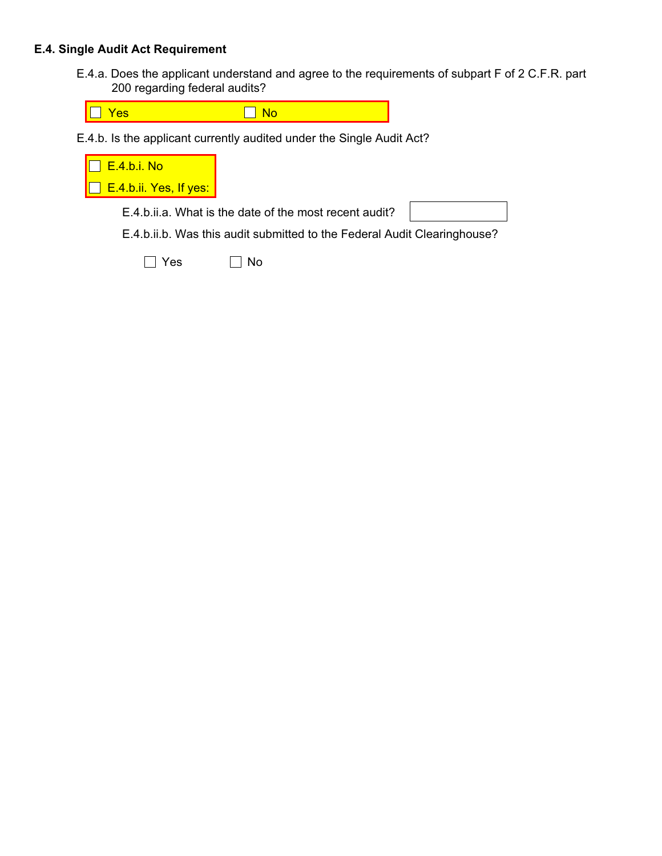### **E.4. Single Audit Act Requirement**

E.4.a. Does the applicant understand and agree to the requirements of subpart F of 2 C.F.R. part 200 regarding federal audits?



E.4.b. Is the applicant currently audited under the Single Audit Act?

| <b>E.4.b.i. No</b>                                                       |  |  |  |
|--------------------------------------------------------------------------|--|--|--|
| $\Box$ E.4.b.ii. Yes, If yes:                                            |  |  |  |
| E.4.b.ii.a. What is the date of the most recent audit?                   |  |  |  |
| E.4.b.ii.b. Was this audit submitted to the Federal Audit Clearinghouse? |  |  |  |

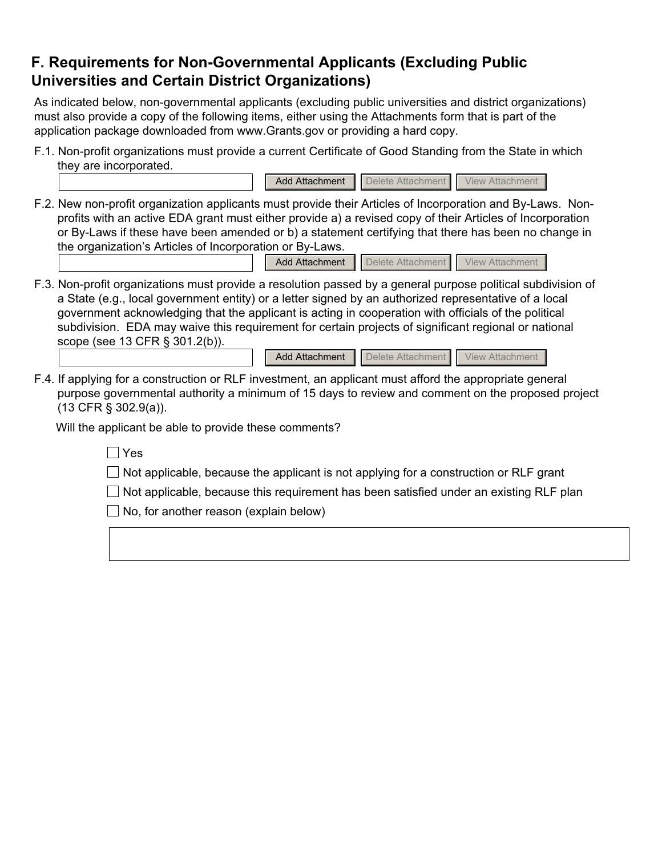# **F. Requirements for Non-Governmental Applicants (Excluding Public Universities and Certain District Organizations)**

As indicated below, non-governmental applicants (excluding public universities and district organizations) must also provide a copy of the following items, either using the Attachments form that is part of the application package downloaded from www.Grants.gov or providing a hard copy.

- F.1. Non-profit organizations must provide a current Certificate of Good Standing from the State in which they are incorporated.
- F.2. New non-profit organization applicants must provide their Articles of Incorporation and By-Laws. Nonprofits with an active EDA grant must either provide a) a revised copy of their Articles of Incorporation or By-Laws if these have been amended or b) a statement certifying that there has been no change in the organization's Articles of Incorporation or By-Laws.

Add Attachment | Delete Attachment | View Attachment

F.3. Non-profit organizations must provide a resolution passed by a general purpose political subdivision of a State (e.g., local government entity) or a letter signed by an authorized representative of a local government acknowledging that the applicant is acting in cooperation with officials of the political subdivision. EDA may waive this requirement for certain projects of significant regional or national scope (see 13 CFR § 301.2(b)).

| Add Attachment   Delete Attachment   View Attachment |  |
|------------------------------------------------------|--|
|                                                      |  |

Add Attachment | Delete Attachment | View Attachment

F.4. If applying for a construction or RLF investment, an applicant must afford the appropriate general purpose governmental authority a minimum of 15 days to review and comment on the proposed project (13 CFR § 302.9(a)).

Will the applicant be able to provide these comments?

 $\Box$  Yes

 $\Box$  Not applicable, because the applicant is not applying for a construction or RLF grant

 $\Box$  Not applicable, because this requirement has been satisfied under an existing RLF plan

 $\Box$  No, for another reason (explain below)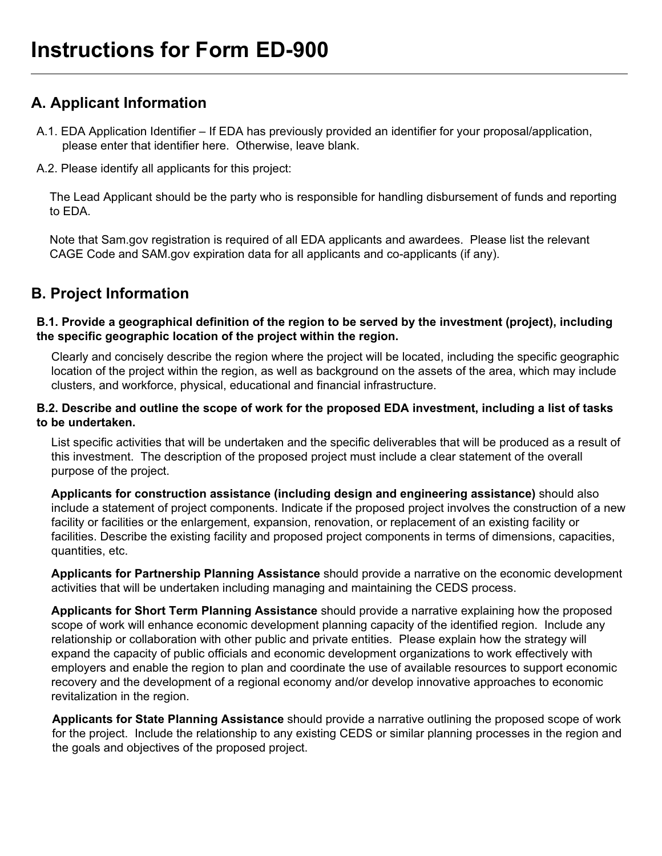# **A. Applicant Information**

- A.1. EDA Application Identifier If EDA has previously provided an identifier for your proposal/application, please enter that identifier here. Otherwise, leave blank.
- A.2. Please identify all applicants for this project:

The Lead Applicant should be the party who is responsible for handling disbursement of funds and reporting to EDA.

Note that Sam.gov registration is required of all EDA applicants and awardees. Please list the relevant CAGE Code and SAM.gov expiration data for all applicants and co-applicants (if any).

# **B. Project Information**

### **B.1. Provide a geographical definition of the region to be served by the investment (project), including the specific geographic location of the project within the region.**

Clearly and concisely describe the region where the project will be located, including the specific geographic location of the project within the region, as well as background on the assets of the area, which may include clusters, and workforce, physical, educational and financial infrastructure.

### **B.2. Describe and outline the scope of work for the proposed EDA investment, including a list of tasks to be undertaken.**

List specific activities that will be undertaken and the specific deliverables that will be produced as a result of this investment. The description of the proposed project must include a clear statement of the overall purpose of the project.

**Applicants for construction assistance (including design and engineering assistance)** should also include a statement of project components. Indicate if the proposed project involves the construction of a new facility or facilities or the enlargement, expansion, renovation, or replacement of an existing facility or facilities. Describe the existing facility and proposed project components in terms of dimensions, capacities, quantities, etc.

**Applicants for Partnership Planning Assistance** should provide a narrative on the economic development activities that will be undertaken including managing and maintaining the CEDS process.

**Applicants for Short Term Planning Assistance** should provide a narrative explaining how the proposed scope of work will enhance economic development planning capacity of the identified region. Include any relationship or collaboration with other public and private entities. Please explain how the strategy will expand the capacity of public officials and economic development organizations to work effectively with employers and enable the region to plan and coordinate the use of available resources to support economic recovery and the development of a regional economy and/or develop innovative approaches to economic revitalization in the region.

**Applicants for State Planning Assistance** should provide a narrative outlining the proposed scope of work for the project. Include the relationship to any existing CEDS or similar planning processes in the region and the goals and objectives of the proposed project.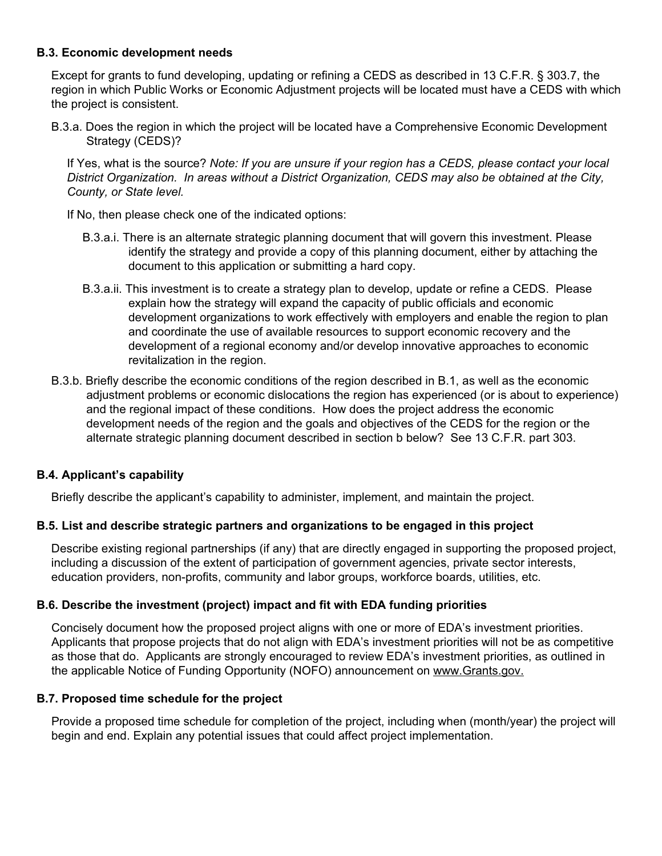### **B.3. Economic development needs**

Except for grants to fund developing, updating or refining a CEDS as described in 13 C.F.R. § 303.7, the region in which Public Works or Economic Adjustment projects will be located must have a CEDS with which the project is consistent.

B.3.a. Does the region in which the project will be located have a Comprehensive Economic Development Strategy (CEDS)?

If Yes, what is the source? *Note: If you are unsure if your region has a CEDS, please contact your local District Organization. In areas without a District Organization, CEDS may also be obtained at the City, County, or State level.* 

If No, then please check one of the indicated options:

- B.3.a.i. There is an alternate strategic planning document that will govern this investment. Please identify the strategy and provide a copy of this planning document, either by attaching the document to this application or submitting a hard copy.
- B.3.a.ii. This investment is to create a strategy plan to develop, update or refine a CEDS. Please explain how the strategy will expand the capacity of public officials and economic development organizations to work effectively with employers and enable the region to plan and coordinate the use of available resources to support economic recovery and the development of a regional economy and/or develop innovative approaches to economic revitalization in the region.
- B.3.b. Briefly describe the economic conditions of the region described in B.1, as well as the economic adjustment problems or economic dislocations the region has experienced (or is about to experience) and the regional impact of these conditions. How does the project address the economic development needs of the region and the goals and objectives of the CEDS for the region or the alternate strategic planning document described in section b below? See 13 C.F.R. part 303.

### **B.4. Applicant's capability**

Briefly describe the applicant's capability to administer, implement, and maintain the project.

### **B.5. List and describe strategic partners and organizations to be engaged in this project**

Describe existing regional partnerships (if any) that are directly engaged in supporting the proposed project, including a discussion of the extent of participation of government agencies, private sector interests, education providers, non-profits, community and labor groups, workforce boards, utilities, etc.

### **B.6. Describe the investment (project) impact and fit with EDA funding priorities**

Concisely document how the proposed project aligns with one or more of EDA's investment priorities. Applicants that propose projects that do not align with EDA's investment priorities will not be as competitive as those that do. Applicants are strongly encouraged to review EDA's investment priorities, as outlined in the applicable Notice of Funding Opportunity (NOFO) announcement on www.Grants.gov.

### **B.7. Proposed time schedule for the project**

Provide a proposed time schedule for completion of the project, including when (month/year) the project will begin and end. Explain any potential issues that could affect project implementation.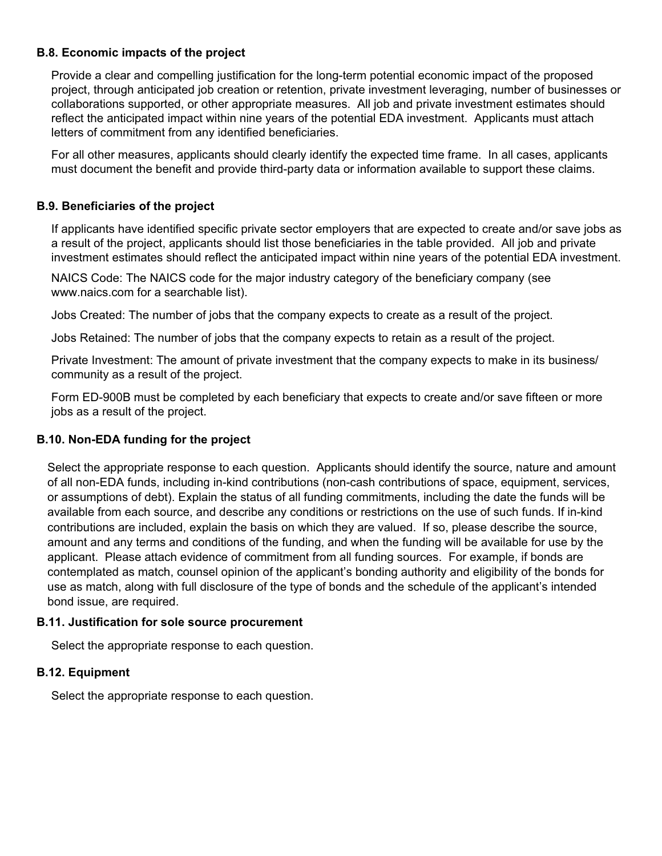### **B.8. Economic impacts of the project**

Provide a clear and compelling justification for the long-term potential economic impact of the proposed project, through anticipated job creation or retention, private investment leveraging, number of businesses or collaborations supported, or other appropriate measures. All job and private investment estimates should reflect the anticipated impact within nine years of the potential EDA investment. Applicants must attach letters of commitment from any identified beneficiaries.

For all other measures, applicants should clearly identify the expected time frame. In all cases, applicants must document the benefit and provide third-party data or information available to support these claims.

### **B.9. Beneficiaries of the project**

If applicants have identified specific private sector employers that are expected to create and/or save jobs as a result of the project, applicants should list those beneficiaries in the table provided. All job and private investment estimates should reflect the anticipated impact within nine years of the potential EDA investment.

NAICS Code: The NAICS code for the major industry category of the beneficiary company (see www.naics.com for a searchable list).

Jobs Created: The number of jobs that the company expects to create as a result of the project.

Jobs Retained: The number of jobs that the company expects to retain as a result of the project.

Private Investment: The amount of private investment that the company expects to make in its business/ community as a result of the project.

Form ED-900B must be completed by each beneficiary that expects to create and/or save fifteen or more jobs as a result of the project.

### **B.10. Non-EDA funding for the project**

Select the appropriate response to each question. Applicants should identify the source, nature and amount of all non-EDA funds, including in-kind contributions (non-cash contributions of space, equipment, services, or assumptions of debt). Explain the status of all funding commitments, including the date the funds will be available from each source, and describe any conditions or restrictions on the use of such funds. If in-kind contributions are included, explain the basis on which they are valued. If so, please describe the source, amount and any terms and conditions of the funding, and when the funding will be available for use by the applicant. Please attach evidence of commitment from all funding sources. For example, if bonds are contemplated as match, counsel opinion of the applicant's bonding authority and eligibility of the bonds for use as match, along with full disclosure of the type of bonds and the schedule of the applicant's intended bond issue, are required.

### **B.11. Justification for sole source procurement**

Select the appropriate response to each question.

### **B.12. Equipment**

Select the appropriate response to each question.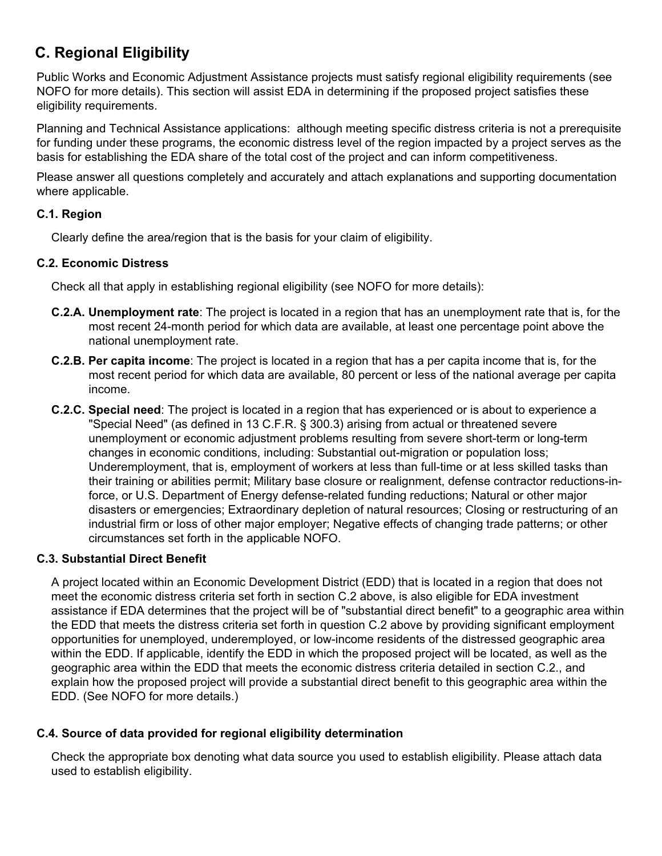# **C. Regional Eligibility**

Public Works and Economic Adjustment Assistance projects must satisfy regional eligibility requirements (see NOFO for more details). This section will assist EDA in determining if the proposed project satisfies these eligibility requirements.

Planning and Technical Assistance applications: although meeting specific distress criteria is not a prerequisite for funding under these programs, the economic distress level of the region impacted by a project serves as the basis for establishing the EDA share of the total cost of the project and can inform competitiveness.

Please answer all questions completely and accurately and attach explanations and supporting documentation where applicable.

### **C.1. Region**

Clearly define the area/region that is the basis for your claim of eligibility.

### **C.2. Economic Distress**

Check all that apply in establishing regional eligibility (see NOFO for more details):

- **C.2.A. Unemployment rate**: The project is located in a region that has an unemployment rate that is, for the most recent 24-month period for which data are available, at least one percentage point above the national unemployment rate.
- **C.2.B. Per capita income**: The project is located in a region that has a per capita income that is, for the most recent period for which data are available, 80 percent or less of the national average per capita income.
- **C.2.C. Special need**: The project is located in a region that has experienced or is about to experience a "Special Need" (as defined in 13 C.F.R. § 300.3) arising from actual or threatened severe unemployment or economic adjustment problems resulting from severe short-term or long-term changes in economic conditions, including: Substantial out-migration or population loss; Underemployment, that is, employment of workers at less than full-time or at less skilled tasks than their training or abilities permit; Military base closure or realignment, defense contractor reductions-inforce, or U.S. Department of Energy defense-related funding reductions; Natural or other major disasters or emergencies; Extraordinary depletion of natural resources; Closing or restructuring of an industrial firm or loss of other major employer; Negative effects of changing trade patterns; or other circumstances set forth in the applicable NOFO.

### **C.3. Substantial Direct Benefit**

A project located within an Economic Development District (EDD) that is located in a region that does not meet the economic distress criteria set forth in section C.2 above, is also eligible for EDA investment assistance if EDA determines that the project will be of "substantial direct benefit" to a geographic area within the EDD that meets the distress criteria set forth in question C.2 above by providing significant employment opportunities for unemployed, underemployed, or low-income residents of the distressed geographic area within the EDD. If applicable, identify the EDD in which the proposed project will be located, as well as the geographic area within the EDD that meets the economic distress criteria detailed in section C.2., and explain how the proposed project will provide a substantial direct benefit to this geographic area within the EDD. (See NOFO for more details.)

### **C.4. Source of data provided for regional eligibility determination**

Check the appropriate box denoting what data source you used to establish eligibility. Please attach data used to establish eligibility.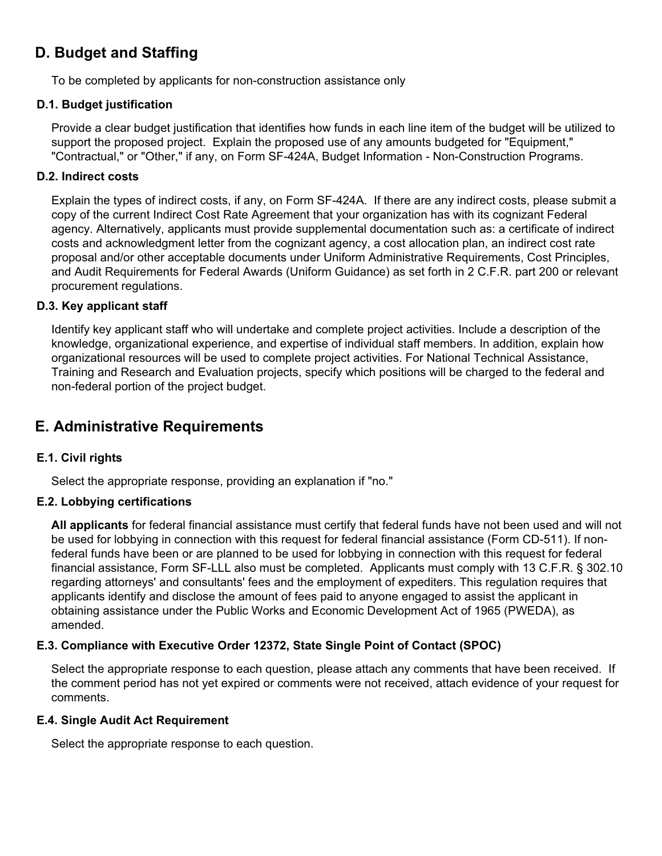# **D. Budget and Staffing**

To be completed by applicants for non-construction assistance only

### **D.1. Budget justification**

Provide a clear budget justification that identifies how funds in each line item of the budget will be utilized to support the proposed project. Explain the proposed use of any amounts budgeted for "Equipment," "Contractual," or "Other," if any, on Form SF-424A, Budget Information - Non-Construction Programs.

### **D.2. Indirect costs**

Explain the types of indirect costs, if any, on Form SF-424A. If there are any indirect costs, please submit a copy of the current Indirect Cost Rate Agreement that your organization has with its cognizant Federal agency. Alternatively, applicants must provide supplemental documentation such as: a certificate of indirect costs and acknowledgment letter from the cognizant agency, a cost allocation plan, an indirect cost rate proposal and/or other acceptable documents under Uniform Administrative Requirements, Cost Principles, and Audit Requirements for Federal Awards (Uniform Guidance) as set forth in 2 C.F.R. part 200 or relevant procurement regulations.

### **D.3. Key applicant staff**

Identify key applicant staff who will undertake and complete project activities. Include a description of the knowledge, organizational experience, and expertise of individual staff members. In addition, explain how organizational resources will be used to complete project activities. For National Technical Assistance, Training and Research and Evaluation projects, specify which positions will be charged to the federal and non-federal portion of the project budget.

# **E. Administrative Requirements**

### **E.1. Civil rights**

Select the appropriate response, providing an explanation if "no."

### **E.2. Lobbying certifications**

**All applicants** for federal financial assistance must certify that federal funds have not been used and will not be used for lobbying in connection with this request for federal financial assistance (Form CD-511). If nonfederal funds have been or are planned to be used for lobbying in connection with this request for federal financial assistance, Form SF-LLL also must be completed. Applicants must comply with 13 C.F.R. § 302.10 regarding attorneys' and consultants' fees and the employment of expediters. This regulation requires that applicants identify and disclose the amount of fees paid to anyone engaged to assist the applicant in obtaining assistance under the Public Works and Economic Development Act of 1965 (PWEDA), as amended.

### **E.3. Compliance with Executive Order 12372, State Single Point of Contact (SPOC)**

Select the appropriate response to each question, please attach any comments that have been received. If the comment period has not yet expired or comments were not received, attach evidence of your request for comments.

### **E.4. Single Audit Act Requirement**

Select the appropriate response to each question.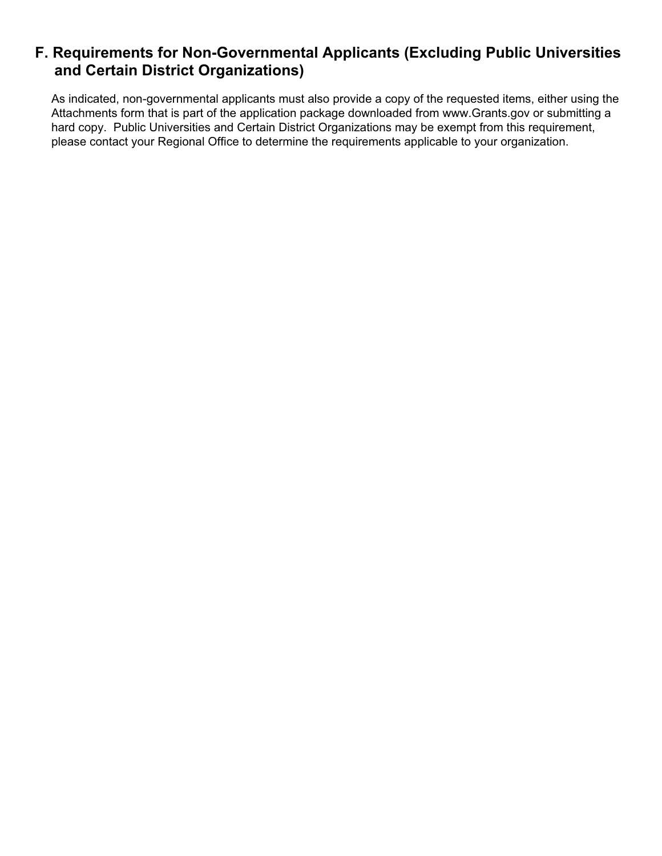# **F. Requirements for Non-Governmental Applicants (Excluding Public Universities and Certain District Organizations)**

As indicated, non-governmental applicants must also provide a copy of the requested items, either using the Attachments form that is part of the application package downloaded from www.Grants.gov or submitting a hard copy. Public Universities and Certain District Organizations may be exempt from this requirement, please contact your Regional Office to determine the requirements applicable to your organization.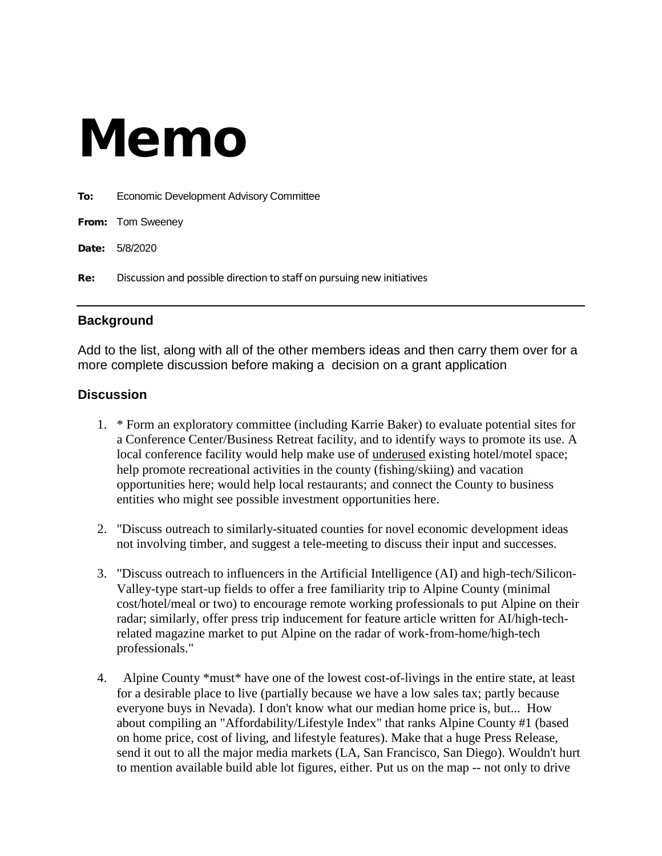# Memo

| To: | Economic Development Advisory Committee                                |
|-----|------------------------------------------------------------------------|
|     | From: Tom Sweeney                                                      |
|     | <b>Date: 5/8/2020</b>                                                  |
| Re: | Discussion and possible direction to staff on pursuing new initiatives |

### **Background**

Add to the list, along with all of the other members ideas and then carry them over for a more complete discussion before making a decision on a grant application

### **Discussion**

- 1. \* Form an exploratory committee (including Karrie Baker) to evaluate potential sites for a Conference Center/Business Retreat facility, and to identify ways to promote its use. A local conference facility would help make use of <u>underused</u> existing hotel/motel space; help promote recreational activities in the county (fishing/skiing) and vacation opportunities here; would help local restaurants; and connect the County to business entities who might see possible investment opportunities here.
- 2. "Discuss outreach to similarly-situated counties for novel economic development ideas not involving timber, and suggest a tele-meeting to discuss their input and successes.
- 3. "Discuss outreach to influencers in the Artificial Intelligence (AI) and high-tech/Silicon-Valley-type start-up fields to offer a free familiarity trip to Alpine County (minimal cost/hotel/meal or two) to encourage remote working professionals to put Alpine on their radar; similarly, offer press trip inducement for feature article written for AI/high-techrelated magazine market to put Alpine on the radar of work-from-home/high-tech professionals."
- 4. Alpine County \*must\* have one of the lowest cost-of-livings in the entire state, at least for a desirable place to live (partially because we have a low sales tax; partly because everyone buys in Nevada). I don't know what our median home price is, but... How about compiling an "Affordability/Lifestyle Index" that ranks Alpine County #1 (based on home price, cost of living, and lifestyle features). Make that a huge Press Release, send it out to all the major media markets (LA, San Francisco, San Diego). Wouldn't hurt to mention available build able lot figures, either. Put us on the map -- not only to drive